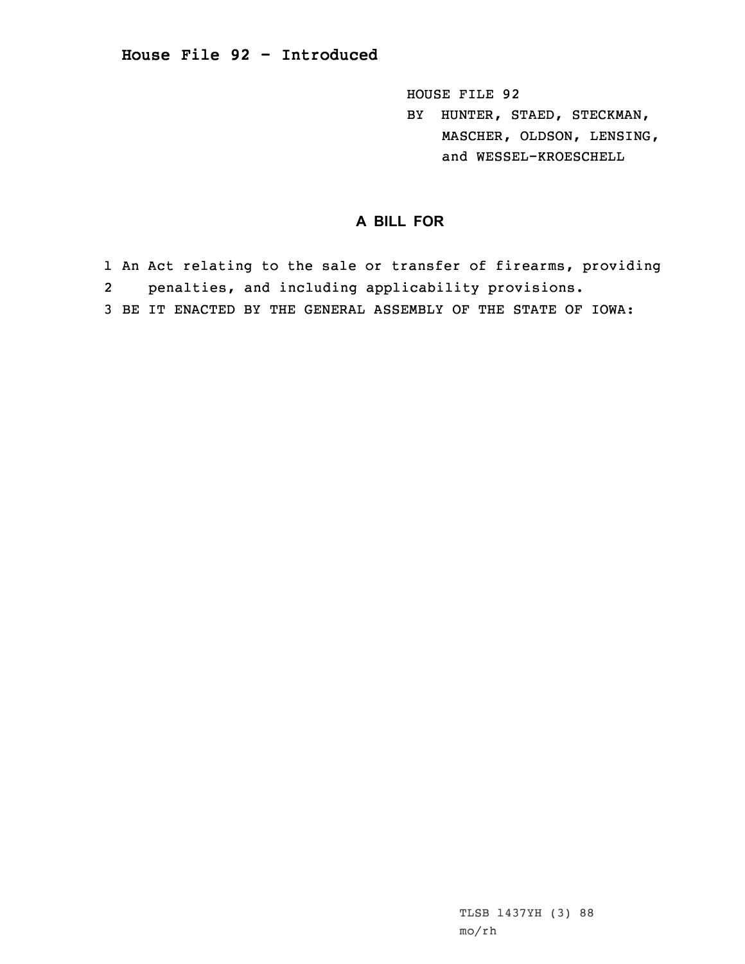HOUSE FILE 92

BY HUNTER, STAED, STECKMAN, MASCHER, OLDSON, LENSING, and WESSEL-KROESCHELL

## **A BILL FOR**

1 An Act relating to the sale or transfer of firearms, providing 2 penalties, and including applicability provisions. 3 BE IT ENACTED BY THE GENERAL ASSEMBLY OF THE STATE OF IOWA:

> TLSB 1437YH (3) 88 mo/rh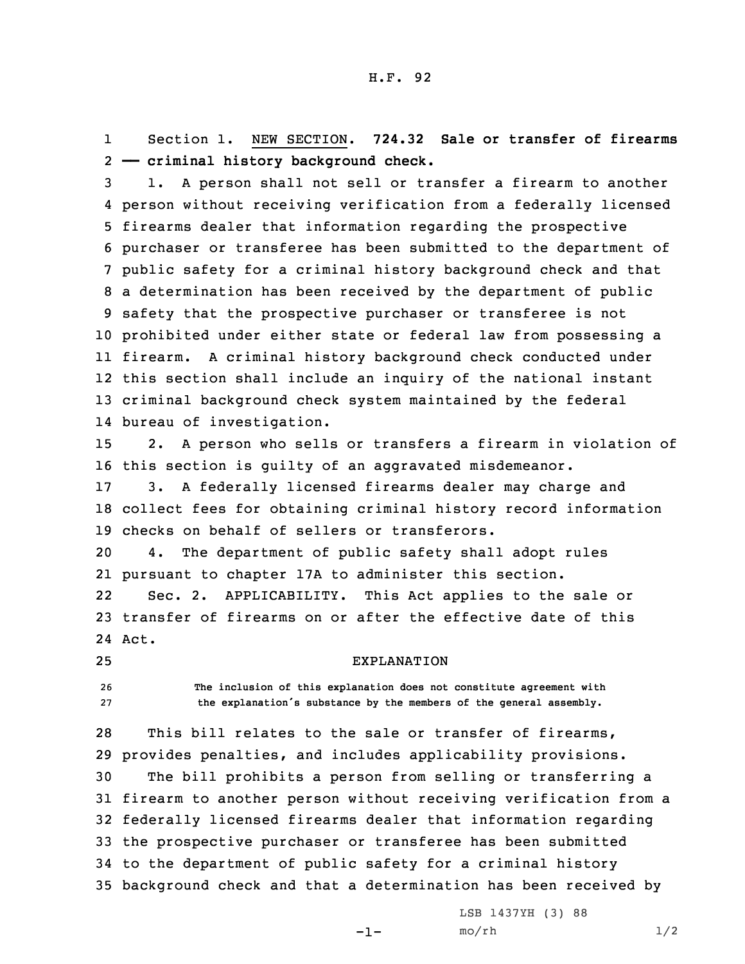1 Section 1. NEW SECTION. **724.32 Sale or transfer of firearms** 2 **—— criminal history background check.**

 1. <sup>A</sup> person shall not sell or transfer <sup>a</sup> firearm to another person without receiving verification from <sup>a</sup> federally licensed firearms dealer that information regarding the prospective purchaser or transferee has been submitted to the department of public safety for <sup>a</sup> criminal history background check and that <sup>a</sup> determination has been received by the department of public safety that the prospective purchaser or transferee is not prohibited under either state or federal law from possessing <sup>a</sup> firearm. <sup>A</sup> criminal history background check conducted under this section shall include an inquiry of the national instant criminal background check system maintained by the federal bureau of investigation.

15 2. <sup>A</sup> person who sells or transfers <sup>a</sup> firearm in violation of 16 this section is guilty of an aggravated misdemeanor.

17 3. <sup>A</sup> federally licensed firearms dealer may charge and 18 collect fees for obtaining criminal history record information 19 checks on behalf of sellers or transferors.

20 4. The department of public safety shall adopt rules 21 pursuant to chapter 17A to administer this section.

22 Sec. 2. APPLICABILITY. This Act applies to the sale or 23 transfer of firearms on or after the effective date of this 24 Act.

25 EXPLANATION

26 **The inclusion of this explanation does not constitute agreement with** <sup>27</sup> **the explanation's substance by the members of the general assembly.**

 This bill relates to the sale or transfer of firearms, provides penalties, and includes applicability provisions. The bill prohibits <sup>a</sup> person from selling or transferring <sup>a</sup> firearm to another person without receiving verification from <sup>a</sup> federally licensed firearms dealer that information regarding the prospective purchaser or transferee has been submitted to the department of public safety for <sup>a</sup> criminal history background check and that <sup>a</sup> determination has been received by

-1-

LSB 1437YH (3) 88  $mO/rh$  1/2